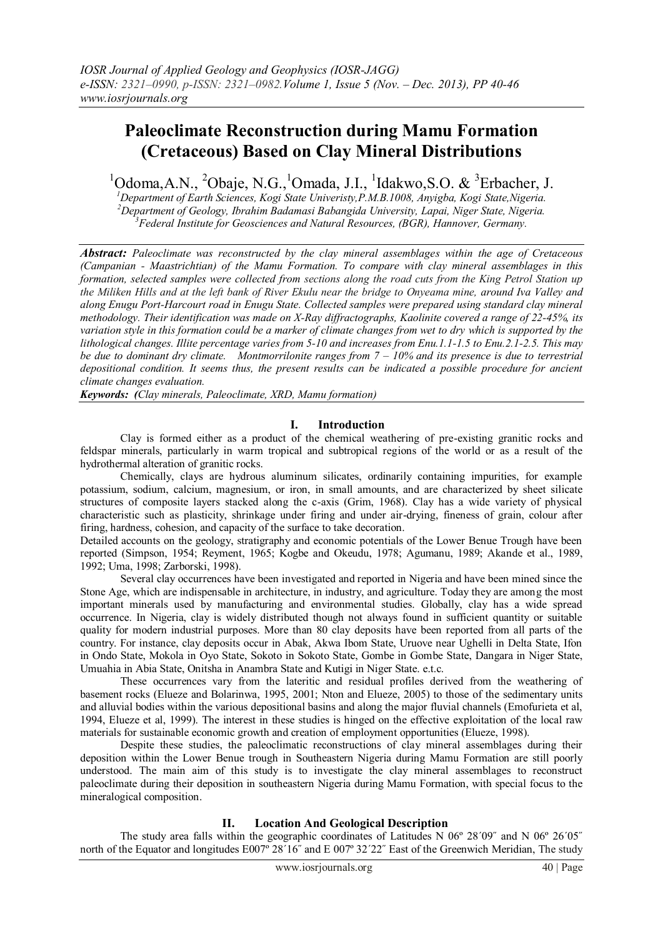# **Paleoclimate Reconstruction during Mamu Formation (Cretaceous) Based on Clay Mineral Distributions**

 $1$ Odoma, A.N.,  $2$ Obaje, N.G., $1$ Omada, J.I.,  $1$ Idakwo, S.O. &  $3$ Erbacher, J.

*<sup>1</sup>Department of Earth Sciences, Kogi State Univeristy,P.M.B.1008, Anyigba, Kogi State,Nigeria. <sup>2</sup>Department of Geology, Ibrahim Badamasi Babangida University, Lapai, Niger State, Nigeria. <sup>3</sup>Federal Institute for Geosciences and Natural Resources, (BGR), Hannover, Germany.*

*Abstract: Paleoclimate was reconstructed by the clay mineral assemblages within the age of Cretaceous (Campanian - Maastrichtian) of the Mamu Formation. To compare with clay mineral assemblages in this formation, selected samples were collected from sections along the road cuts from the King Petrol Station up the Miliken Hills and at the left bank of River Ekulu near the bridge to Onyeama mine, around Iva Valley and along Enugu Port-Harcourt road in Enugu State. Collected samples were prepared using standard clay mineral methodology. Their identification was made on X-Ray diffractographs, Kaolinite covered a range of 22-45%, its variation style in this formation could be a marker of climate changes from wet to dry which is supported by the lithological changes. Illite percentage varies from 5-10 and increases from Enu.1.1-1.5 to Enu.2.1-2.5. This may be due to dominant dry climate. Montmorrilonite ranges from 7 – 10% and its presence is due to terrestrial depositional condition. It seems thus, the present results can be indicated a possible procedure for ancient climate changes evaluation.* 

*Keywords: (Clay minerals, Paleoclimate, XRD, Mamu formation)*

### **I. Introduction**

Clay is formed either as a product of the chemical weathering of pre-existing granitic rocks and feldspar minerals, particularly in warm tropical and subtropical regions of the world or as a result of the hydrothermal alteration of granitic rocks.

Chemically, clays are hydrous aluminum silicates, ordinarily containing impurities, for example potassium, sodium, calcium, magnesium, or iron, in small amounts, and are characterized by sheet silicate structures of composite layers stacked along the c-axis (Grim, 1968). Clay has a wide variety of physical characteristic such as plasticity, shrinkage under firing and under air-drying, fineness of grain, colour after firing, hardness, cohesion, and capacity of the surface to take decoration.

Detailed accounts on the geology, stratigraphy and economic potentials of the Lower Benue Trough have been reported (Simpson, 1954; Reyment, 1965; Kogbe and Okeudu, 1978; Agumanu, 1989; Akande et al., 1989, 1992; Uma, 1998; Zarborski, 1998).

Several clay occurrences have been investigated and reported in Nigeria and have been mined since the Stone Age, which are indispensable in architecture, in industry, and agriculture. Today they are among the most important minerals used by manufacturing and environmental studies. Globally, clay has a wide spread occurrence. In Nigeria, clay is widely distributed though not always found in sufficient quantity or suitable quality for modern industrial purposes. More than 80 clay deposits have been reported from all parts of the country. For instance, clay deposits occur in Abak, Akwa Ibom State, Uruove near Ughelli in Delta State, Ifon in Ondo State, Mokola in Oyo State, Sokoto in Sokoto State, Gombe in Gombe State, Dangara in Niger State, Umuahia in Abia State, Onitsha in Anambra State and Kutigi in Niger State. e.t.c.

These occurrences vary from the lateritic and residual profiles derived from the weathering of basement rocks (Elueze and Bolarinwa, 1995, 2001; Nton and Elueze, 2005) to those of the sedimentary units and alluvial bodies within the various depositional basins and along the major fluvial channels (Emofurieta et al, 1994, Elueze et al, 1999). The interest in these studies is hinged on the effective exploitation of the local raw materials for sustainable economic growth and creation of employment opportunities (Elueze, 1998).

Despite these studies, the paleoclimatic reconstructions of clay mineral assemblages during their deposition within the Lower Benue trough in Southeastern Nigeria during Mamu Formation are still poorly understood. The main aim of this study is to investigate the clay mineral assemblages to reconstruct paleoclimate during their deposition in southeastern Nigeria during Mamu Formation, with special focus to the mineralogical composition.

### **II. Location And Geological Description**

The study area falls within the geographic coordinates of Latitudes N 06º 28΄09˝ and N 06º 26΄05˝ north of the Equator and longitudes E007° 28'16" and E 007° 32'22" East of the Greenwich Meridian, The study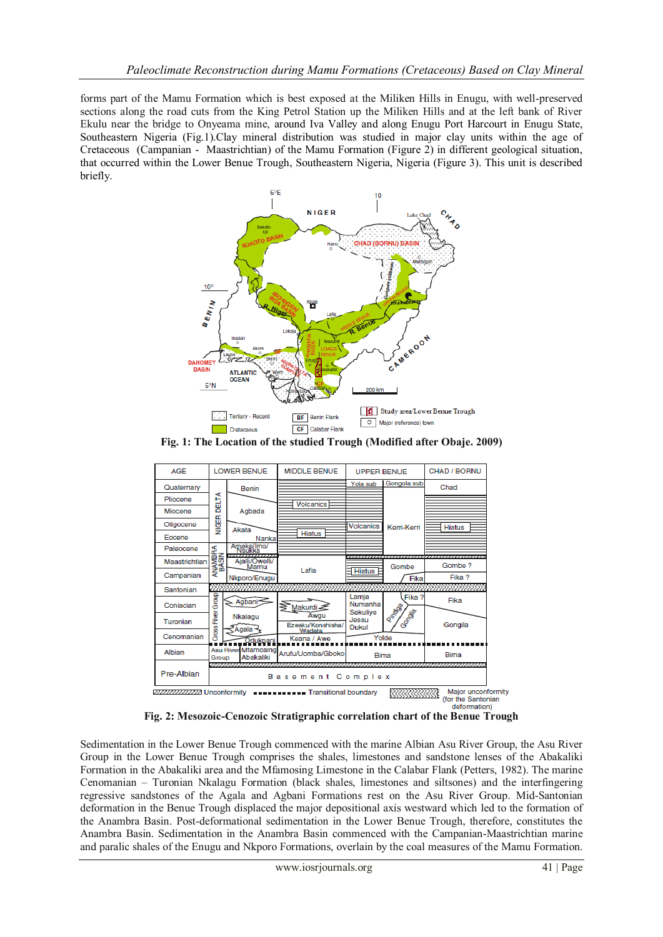forms part of the Mamu Formation which is best exposed at the Miliken Hills in Enugu, with well-preserved sections along the road cuts from the King Petrol Station up the Miliken Hills and at the left bank of River Ekulu near the bridge to Onyeama mine, around Iva Valley and along Enugu Port Harcourt in Enugu State, Southeastern Nigeria (Fig.1).Clay mineral distribution was studied in major clay units within the age of Cretaceous (Campanian - Maastrichtian) of the Mamu Formation (Figure 2) in different geological situation, that occurred within the Lower Benue Trough, Southeastern Nigeria, Nigeria (Figure 3). This unit is described briefly.



**Fig. 1: The Location of the studied Trough (Modified after Obaje. 2009)**



**Fig. 2: Mesozoic-Cenozoic Stratigraphic correlation chart of the Benue Trough**

Sedimentation in the Lower Benue Trough commenced with the marine Albian Asu River Group, the Asu River Group in the Lower Benue Trough comprises the shales, limestones and sandstone lenses of the Abakaliki Formation in the Abakaliki area and the Mfamosing Limestone in the Calabar Flank (Petters, 1982). The marine Cenomanian – Turonian Nkalagu Formation (black shales, limestones and siltsones) and the interfingering regressive sandstones of the Agala and Agbani Formations rest on the Asu River Group. Mid-Santonian deformation in the Benue Trough displaced the major depositional axis westward which led to the formation of the Anambra Basin. Post-deformational sedimentation in the Lower Benue Trough, therefore, constitutes the Anambra Basin. Sedimentation in the Anambra Basin commenced with the Campanian-Maastrichtian marine and paralic shales of the Enugu and Nkporo Formations, overlain by the coal measures of the Mamu Formation.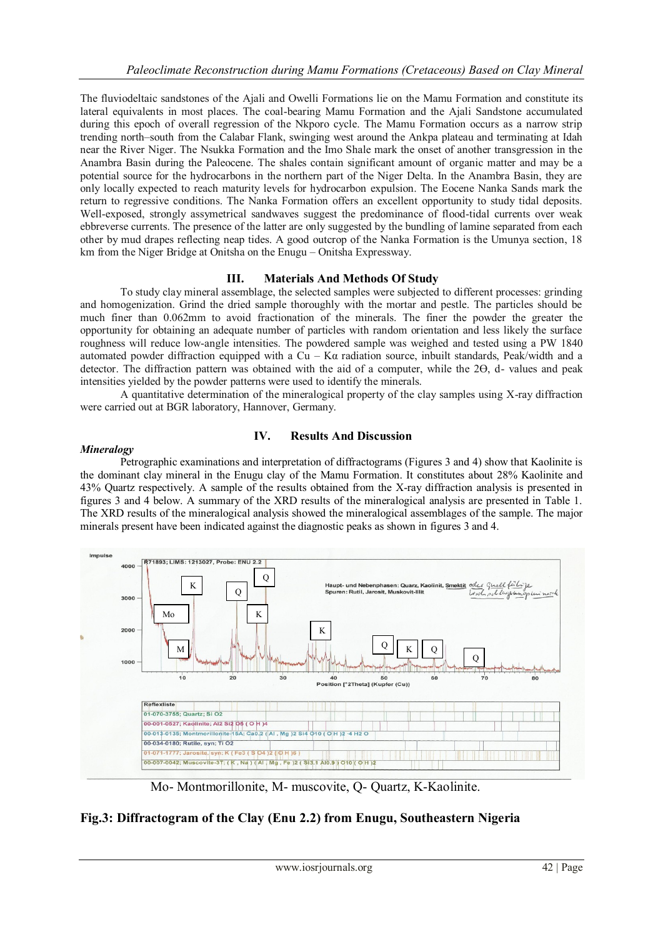The fluviodeltaic sandstones of the Ajali and Owelli Formations lie on the Mamu Formation and constitute its lateral equivalents in most places. The coal-bearing Mamu Formation and the Ajali Sandstone accumulated during this epoch of overall regression of the Nkporo cycle. The Mamu Formation occurs as a narrow strip trending north–south from the Calabar Flank, swinging west around the Ankpa plateau and terminating at Idah near the River Niger. The Nsukka Formation and the Imo Shale mark the onset of another transgression in the Anambra Basin during the Paleocene. The shales contain significant amount of organic matter and may be a potential source for the hydrocarbons in the northern part of the Niger Delta. In the Anambra Basin, they are only locally expected to reach maturity levels for hydrocarbon expulsion. The Eocene Nanka Sands mark the return to regressive conditions. The Nanka Formation offers an excellent opportunity to study tidal deposits. Well-exposed, strongly assymetrical sandwaves suggest the predominance of flood-tidal currents over weak ebbreverse currents. The presence of the latter are only suggested by the bundling of lamine separated from each other by mud drapes reflecting neap tides. A good outcrop of the Nanka Formation is the Umunya section, 18 km from the Niger Bridge at Onitsha on the Enugu – Onitsha Expressway.

### **III. Materials And Methods Of Study**

To study clay mineral assemblage, the selected samples were subjected to different processes: grinding and homogenization. Grind the dried sample thoroughly with the mortar and pestle. The particles should be much finer than 0.062mm to avoid fractionation of the minerals. The finer the powder the greater the opportunity for obtaining an adequate number of particles with random orientation and less likely the surface roughness will reduce low-angle intensities. The powdered sample was weighed and tested using a PW 1840 automated powder diffraction equipped with a Cu – K $\alpha$  radiation source, inbuilt standards, Peak/width and a detector. The diffraction pattern was obtained with the aid of a computer, while the 2Ө, d- values and peak intensities yielded by the powder patterns were used to identify the minerals.

A quantitative determination of the mineralogical property of the clay samples using X-ray diffraction were carried out at BGR laboratory, Hannover, Germany.

### *Mineralogy*

### **IV. Results And Discussion**

Petrographic examinations and interpretation of diffractograms (Figures 3 and 4) show that Kaolinite is the dominant clay mineral in the Enugu clay of the Mamu Formation. It constitutes about 28% Kaolinite and 43% Quartz respectively. A sample of the results obtained from the X-ray diffraction analysis is presented in figures 3 and 4 below. A summary of the XRD results of the mineralogical analysis are presented in Table 1. The XRD results of the mineralogical analysis showed the mineralogical assemblages of the sample. The major minerals present have been indicated against the diagnostic peaks as shown in figures 3 and 4.



Mo- Montmorillonite, M- muscovite, Q- Quartz, K-Kaolinite.

### **Fig.3: Diffractogram of the Clay (Enu 2.2) from Enugu, Southeastern Nigeria**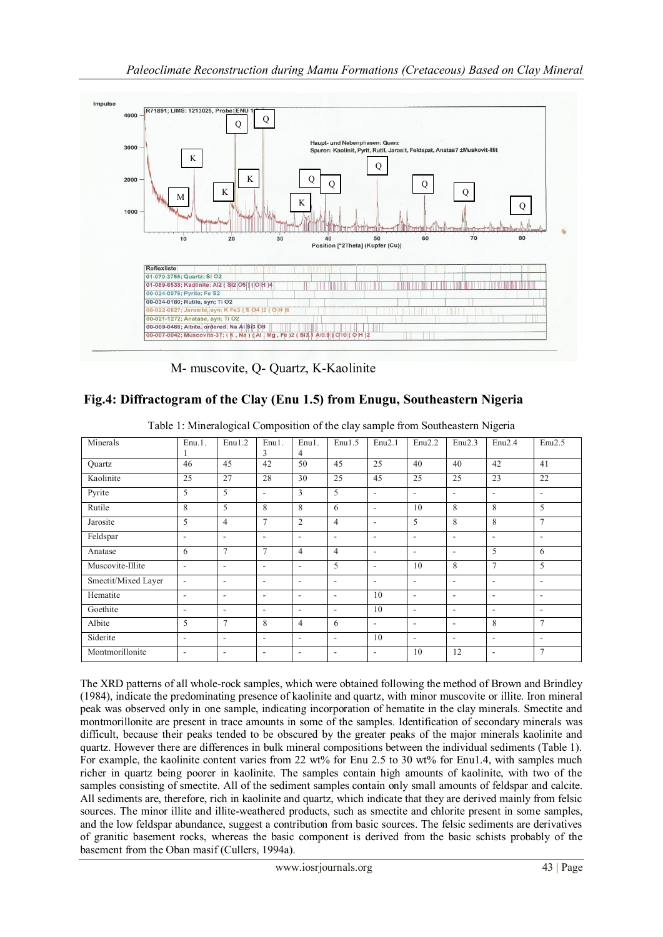

M- muscovite, Q- Quartz, K-Kaolinite

## **Fig.4: Diffractogram of the Clay (Enu 1.5) from Enugu, Southeastern Nigeria**

| Minerals            | $Enu.1$ .                | Enu1.2                   | Enu1.<br>3     | Enu1.<br>4               | Enu1.5                   | Enu2.1                   | Enu2.2                   | Enu2.3                   | Enu2.4                   | Enu2.5                   |
|---------------------|--------------------------|--------------------------|----------------|--------------------------|--------------------------|--------------------------|--------------------------|--------------------------|--------------------------|--------------------------|
| <b>Quartz</b>       | 46                       | 45                       | 42             | 50                       | 45                       | 25                       | 40                       | 40                       | 42                       | 41                       |
| Kaolinite           | 25                       | 27                       | 28             | 30                       | 25                       | 45                       | 25                       | 25                       | 23                       | 22                       |
| Pyrite              | 5                        | 5                        | ٠              | 3                        | 5                        | $\overline{\phantom{a}}$ | $\overline{\phantom{a}}$ | ۰                        | $\overline{\phantom{a}}$ | $\overline{\phantom{a}}$ |
| Rutile              | 8                        | 5                        | 8              | 8                        | 6                        | $\overline{\phantom{a}}$ | 10                       | 8                        | 8                        | 5                        |
| Jarosite            | 5                        | $\overline{4}$           | $\overline{7}$ | $\overline{2}$           | $\overline{4}$           | ۰                        | 5                        | 8                        | 8                        | $\tau$                   |
| Feldspar            | $\overline{\phantom{a}}$ | ٠                        | ۰              | $\overline{\phantom{a}}$ | $\overline{\phantom{a}}$ | ۰                        | $\overline{\phantom{a}}$ | $\overline{\phantom{a}}$ | ٠                        | ۰                        |
| Anatase             | 6                        | $\tau$                   | 7              | 4                        | $\overline{4}$           | $\overline{\phantom{a}}$ | $\overline{\phantom{a}}$ | ۰                        | 5                        | 6                        |
| Muscovite-Illite    | $\blacksquare$           | ٠                        | ۰              | ۰                        | 5                        | $\overline{\phantom{a}}$ | 10                       | 8                        | $\overline{7}$           | 5                        |
| Smectit/Mixed Layer | $\overline{\phantom{a}}$ | ٠                        | ۰              | $\overline{\phantom{a}}$ | $\overline{\phantom{a}}$ | ۰                        | $\overline{\phantom{a}}$ | ٠                        | $\overline{\phantom{a}}$ | $\overline{\phantom{a}}$ |
| Hematite            | $\overline{\phantom{a}}$ | ٠                        | ۰              | $\overline{\phantom{a}}$ | ٠                        | 10                       | $\overline{\phantom{a}}$ | $\overline{\phantom{a}}$ | $\overline{\phantom{a}}$ | ۰                        |
| Goethite            | $\overline{\phantom{a}}$ | $\overline{\phantom{a}}$ | ۰              | ۰                        | $\overline{\phantom{a}}$ | 10                       | $\overline{\phantom{a}}$ | $\overline{\phantom{a}}$ | $\overline{\phantom{a}}$ | ۰                        |
| Albite              | 5                        | $\tau$                   | 8              | 4                        | 6                        | $\overline{\phantom{a}}$ | $\overline{\phantom{a}}$ | $\overline{\phantom{a}}$ | 8                        | $\tau$                   |
| Siderite            | ٠                        | ٠                        | ٠              | $\blacksquare$           | ٠                        | 10                       | $\overline{\phantom{a}}$ | ٠                        | ٠                        | ٠                        |
| Montmorillonite     | $\overline{\phantom{a}}$ | $\overline{\phantom{a}}$ | ۰              | $\overline{\phantom{a}}$ | $\overline{\phantom{a}}$ | $\overline{\phantom{a}}$ | 10                       | 12                       | $\overline{\phantom{a}}$ | $\tau$                   |

Table 1: Mineralogical Composition of the clay sample from Southeastern Nigeria

The XRD patterns of all whole-rock samples, which were obtained following the method of Brown and Brindley (1984), indicate the predominating presence of kaolinite and quartz, with minor muscovite or illite. Iron mineral peak was observed only in one sample, indicating incorporation of hematite in the clay minerals. Smectite and montmorillonite are present in trace amounts in some of the samples. Identification of secondary minerals was difficult, because their peaks tended to be obscured by the greater peaks of the major minerals kaolinite and quartz. However there are differences in bulk mineral compositions between the individual sediments (Table 1). For example, the kaolinite content varies from 22 wt% for Enu 2.5 to 30 wt% for Enu1.4, with samples much richer in quartz being poorer in kaolinite. The samples contain high amounts of kaolinite, with two of the samples consisting of smectite. All of the sediment samples contain only small amounts of feldspar and calcite. All sediments are, therefore, rich in kaolinite and quartz, which indicate that they are derived mainly from felsic sources. The minor illite and illite-weathered products, such as smectite and chlorite present in some samples, and the low feldspar abundance, suggest a contribution from basic sources. The felsic sediments are derivatives of granitic basement rocks, whereas the basic component is derived from the basic schists probably of the basement from the Oban masif (Cullers, 1994a).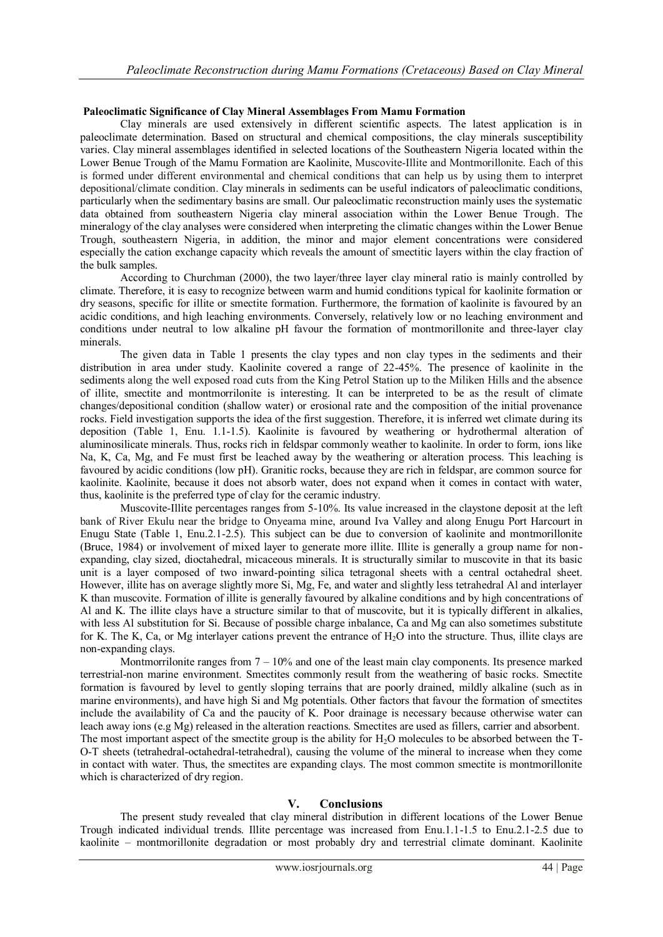### **Paleoclimatic Significance of Clay Mineral Assemblages From Mamu Formation**

Clay minerals are used extensively in different scientific aspects. The latest application is in paleoclimate determination. Based on structural and chemical compositions, the clay minerals susceptibility varies. Clay mineral assemblages identified in selected locations of the Southeastern Nigeria located within the Lower Benue Trough of the Mamu Formation are Kaolinite, Muscovite-Illite and Montmorillonite. Each of this is formed under different environmental and chemical conditions that can help us by using them to interpret depositional/climate condition. Clay minerals in sediments can be useful indicators of paleoclimatic conditions, particularly when the sedimentary basins are small. Our paleoclimatic reconstruction mainly uses the systematic data obtained from southeastern Nigeria clay mineral association within the Lower Benue Trough. The mineralogy of the clay analyses were considered when interpreting the climatic changes within the Lower Benue Trough, southeastern Nigeria, in addition, the minor and major element concentrations were considered especially the cation exchange capacity which reveals the amount of smectitic layers within the clay fraction of the bulk samples.

According to Churchman (2000), the two layer/three layer clay mineral ratio is mainly controlled by climate. Therefore, it is easy to recognize between warm and humid conditions typical for kaolinite formation or dry seasons, specific for illite or smectite formation. Furthermore, the formation of kaolinite is favoured by an acidic conditions, and high leaching environments. Conversely, relatively low or no leaching environment and conditions under neutral to low alkaline pH favour the formation of montmorillonite and three-layer clay minerals.

The given data in Table 1 presents the clay types and non clay types in the sediments and their distribution in area under study. Kaolinite covered a range of 22-45%. The presence of kaolinite in the sediments along the well exposed road cuts from the King Petrol Station up to the Miliken Hills and the absence of illite, smectite and montmorrilonite is interesting. It can be interpreted to be as the result of climate changes/depositional condition (shallow water) or erosional rate and the composition of the initial provenance rocks. Field investigation supports the idea of the first suggestion. Therefore, it is inferred wet climate during its deposition (Table 1, Enu. 1.1-1.5). Kaolinite is favoured by weathering or hydrothermal alteration of aluminosilicate minerals. Thus, rocks rich in feldspar commonly weather to kaolinite. In order to form, ions like Na, K, Ca, Mg, and Fe must first be leached away by the weathering or alteration process. This leaching is favoured by acidic conditions (low pH). Granitic rocks, because they are rich in feldspar, are common source for kaolinite. Kaolinite, because it does not absorb water, does not expand when it comes in contact with water, thus, kaolinite is the preferred type of clay for the ceramic industry.

Muscovite-Illite percentages ranges from 5-10%. Its value increased in the claystone deposit at the left bank of River Ekulu near the bridge to Onyeama mine, around Iva Valley and along Enugu Port Harcourt in Enugu State (Table 1, Enu.2.1-2.5). This subject can be due to conversion of kaolinite and montmorillonite (Bruce, 1984) or involvement of mixed layer to generate more illite. Illite is generally a group name for nonexpanding, clay sized, dioctahedral, micaceous minerals. It is structurally similar to muscovite in that its basic unit is a layer composed of two inward-pointing silica tetragonal sheets with a central octahedral sheet. However, illite has on average slightly more Si, Mg, Fe, and water and slightly less tetrahedral Al and interlayer K than muscovite. Formation of illite is generally favoured by alkaline conditions and by high concentrations of Al and K. The illite clays have a structure similar to that of muscovite, but it is typically different in alkalies, with less Al substitution for Si. Because of possible charge inbalance, Ca and Mg can also sometimes substitute for K. The K, Ca, or Mg interlayer cations prevent the entrance of  $H_2O$  into the structure. Thus, illite clays are non-expanding clays.

Montmorrilonite ranges from  $7 - 10\%$  and one of the least main clay components. Its presence marked terrestrial-non marine environment. Smectites commonly result from the weathering of basic rocks. Smectite formation is favoured by level to gently sloping terrains that are poorly drained, mildly alkaline (such as in marine environments), and have high Si and Mg potentials. Other factors that favour the formation of smectites include the availability of Ca and the paucity of K. Poor drainage is necessary because otherwise water can leach away ions (e.g Mg) released in the alteration reactions. Smectites are used as fillers, carrier and absorbent. The most important aspect of the smectite group is the ability for H<sub>2</sub>O molecules to be absorbed between the T-

O-T sheets (tetrahedral-octahedral-tetrahedral), causing the volume of the mineral to increase when they come in contact with water. Thus, the smectites are expanding clays. The most common smectite is montmorillonite which is characterized of dry region.

### **V. Conclusions**

The present study revealed that clay mineral distribution in different locations of the Lower Benue Trough indicated individual trends. Illite percentage was increased from Enu.1.1-1.5 to Enu.2.1-2.5 due to kaolinite – montmorillonite degradation or most probably dry and terrestrial climate dominant. Kaolinite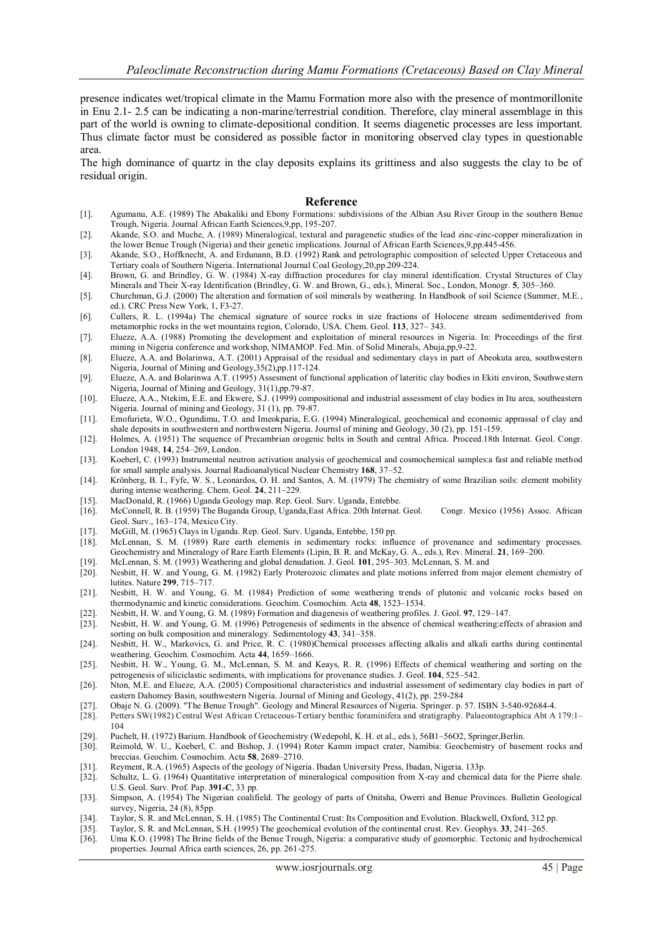presence indicates wet/tropical climate in the Mamu Formation more also with the presence of montmorillonite in Enu 2.1- 2.5 can be indicating a non-marine/terrestrial condition. Therefore, clay mineral assemblage in this part of the world is owning to climate-depositional condition. It seems diagenetic processes are less important. Thus climate factor must be considered as possible factor in monitoring observed clay types in questionable area.

The high dominance of quartz in the clay deposits explains its grittiness and also suggests the clay to be of residual origin.

#### **Reference**

- [1]. Agumanu, A.E. (1989) The Abakaliki and Ebony Formations: subdivisions of the Albian Asu River Group in the southern Benue Trough, Nigeria. Journal African Earth Sciences,9,pp, 195-207.
- [2]. Akande, S.O. and Muche, A. (1989) Mineralogical, textural and paragenetic studies of the lead zinc-zinc-copper mineralization in the lower Benue Trough (Nigeria) and their genetic implications. Journal of African Earth Sciences,9,pp.445-456.
- [3]. Akande, S.O., Hoffknecht, A. and Erdunann, B.D. (1992) Rank and petrolographic composition of selected Upper Cretaceous and Tertiary coals of Southern Nigeria. International Journal Coal Geology,20,pp.209-224.
- [4]. Brown, G. and Brindley, G. W. (1984) X-ray diffraction procedures for clay mineral identification. Crystal Structures of Clay Minerals and Their X-ray Identification (Brindley, G. W. and Brown, G., eds.), Mineral. Soc., London, Monogr. **5**, 305–360.
- [5]. Churchman, G.J. (2000) The alteration and formation of soil minerals by weathering. In Handbook of soil Science (Summer, M.E., ed.). CRC Press New York, 1, F3-27.
- [6]. Cullers, R. L. (1994a) The chemical signature of source rocks in size fractions of Holocene stream sedimentderived from metamorphic rocks in the wet mountains region, Colorado, USA. Chem. Geol. **113**, 327– 343.
- [7]. Elueze, A.A. (1988) Promoting the development and exploitation of mineral resources in Nigeria. In: Proceedings of the first mining in Nigeria conference and workshop, NIMAMOP. Fed. Min. of Solid Minerals, Abuja,pp,9-22.
- [8]. Elueze, A.A. and Bolarinwa, A.T. (2001) Appraisal of the residual and sedimentary clays in part of Abeokuta area, southwestern Nigeria, Journal of Mining and Geology,35(2),pp.117-124.
- [9]. Elueze, A.A. and Bolarinwa A.T. (1995) Assesment of functional application of lateritic clay bodies in Ekiti environ, Southwestern Nigeria, Journal of Mining and Geology, 31(1),pp.79-87.
- [10]. Elueze, A.A., Ntekim, E.E. and Ekwere, S.J. (1999) compositional and industrial assessment of clay bodies in Itu area, southeastern Nigeria. Journal of mining and Geology, 31 (1), pp. 79-87.
- [11]. Emofurieta, W.O., Ogundimu, T.O. and Imeokparia, E.G. (1994) Mineralogical, geochemical and economic apprassal of clay and shale deposits in southwestern and northwestern Nigeria. Journsl of mining and Geology, 30 (2), pp. 151-159.
- [12]. Holmes, A. (1951) The sequence of Precambrian orogenic belts in South and central Africa. Proceed.18th Internat. Geol. Congr. London 1948, **14**, 254–269, London.
- [13]. Koeberl, C. (1993) Instrumental neutron activation analysis of geochemical and cosmochemical samples:a fast and reliable method for small sample analysis. Journal Radioanalytical Nuclear Chemistry **168**, 37–52.
- [14]. Krönberg, B. I., Fyfe, W. S., Leonardos, O. H. and Santos, A. M. (1979) The chemistry of some Brazilian soils: element mobility during intense weathering. Chem. Geol. **24**, 211–229.
- [15]. MacDonald, R. (1966) Uganda Geology map. Rep. Geol. Surv. Uganda, Entebbe.
- [16]. McConnell, R. B. (1959) The Buganda Group, Uganda,East Africa. 20th Internat. Geol. Congr. Mexico (1956) Assoc. African Geol. Surv., 163–174, Mexico City.
- [17]. McGill, M. (1965) Clays in Uganda. Rep. Geol. Surv. Uganda, Entebbe, 150 pp.
- [18]. McLennan, S. M. (1989) Rare earth elements in sedimentary rocks: influence of provenance and sedimentary processes. Geochemistry and Mineralogy of Rare Earth Elements (Lipin, B. R. and McKay, G. A., eds.), Rev. Mineral. **21**, 169–200.
- [19]. McLennan, S. M. (1993) Weathering and global denudation. J. Geol. **101**, 295–303. McLennan, S. M. and
- [20]. Nesbitt, H. W. and Young, G. M. (1982) Early Proterozoic climates and plate motions inferred from major element chemistry of lutites. Nature **299**, 715–717.
- [21]. Nesbitt, H. W. and Young, G. M. (1984) Prediction of some weathering trends of plutonic and volcanic rocks based on thermodynamic and kinetic considerations. Geochim. Cosmochim. Acta **48**, 1523–1534.
- [22]. Nesbitt, H. W. and Young, G. M. (1989) Formation and diagenesis of weathering profiles. J. Geol. **97**, 129–147.
- [23]. Nesbitt, H. W. and Young, G. M. (1996) Petrogenesis of sediments in the absence of chemical weathering:effects of abrasion and sorting on bulk composition and mineralogy. Sedimentology **43**, 341–358.
- [24]. Nesbitt, H. W., Markovics, G. and Price, R. C. (1980)Chemical processes affecting alkalis and alkali earths during continental weathering. Geochim. Cosmochim. Acta **44**, 1659–1666.
- [25]. Nesbitt, H. W., Young, G. M., McLennan, S. M. and Keays, R. R. (1996) Effects of chemical weathering and sorting on the petrogenesis of siliciclastic sediments, with implications for provenance studies. J. Geol. **104**, 525–542.
- [26]. Nton, M.E. and Elueze, A.A. (2005) Compositional characteristics and industrial assessment of sedimentary clay bodies in part of eastern Dahomey Basin, southwestern Nigeria. Journal of Mining and Geology, 41(2), pp. 259-284
- 
- [27]. Obaje N. G. (2009). "The Benue Trough". Geology and Mineral Resources of Nigeria. Springer. p. 57. ISBN 3-540-92684-4. [28]. Petters SW(1982) Central West African Cretaceous-Tertiary benthic foraminifera and stratigraphy. Palaeontographica Abt A 179:1– 104
- [29]. Puchelt, H. (1972) Barium. Handbook of Geochemistry (Wedepohl, K. H. et al., eds.), 56B1–56O2, Springer,Berlin.<br>[30]. Reimold, W. U., Koeberl, C. and Bishop, J. (1994) Roter Kamm impact crater, Namibia: Geochemistry
- Reimold, W. U., Koeberl, C. and Bishop, J. (1994) Roter Kamm impact crater, Namibia: Geochemistry of basement rocks and breccias. Geochim. Cosmochim. Acta **58**, 2689–2710.
- [31]. Reyment, R.A. (1965) Aspects of the geology of Nigeria. Ibadan University Press, Ibadan, Nigeria. 133p.
- [32]. Schultz, L. G. (1964) Quantitative interpretation of mineralogical composition from X-ray and chemical data for the Pierre shale. U.S. Geol. Surv. Prof. Pap. **391-C**, 33 pp.
- [33]. Simpson, A. (1954) The Nigerian coalifield. The geology of parts of Onitsha, Owerri and Benue Provinces. Bulletin Geological survey, Nigeria, 24 (8), 85pp.
- [34]. Taylor, S. R. and McLennan, S. H. (1985) The Continental Crust: Its Composition and Evolution. Blackwell, Oxford, 312 pp.
- [35]. Taylor, S. R. and McLennan, S.H. (1995) The geochemical evolution of the continental crust. Rev. Geophys. **33**, 241–265.
- [36]. Uma K.O. (1998) The Brine fields of the Benue Trough, Nigeria: a comparative study of geomorphic. Tectonic and hydrochemical properties. Journal Africa earth sciences, 26, pp. 261-275.